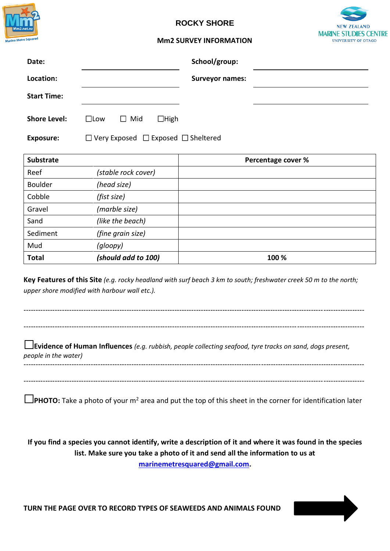

## **ROCKY SHORE**



## **Mm2 SURVEY INFORMATION**

| Date:               |               |                                                     |             | School/group:          |  |  |
|---------------------|---------------|-----------------------------------------------------|-------------|------------------------|--|--|
| Location:           |               |                                                     |             | <b>Surveyor names:</b> |  |  |
| <b>Start Time:</b>  |               |                                                     |             |                        |  |  |
| <b>Shore Level:</b> | $\square$ Low | $\Box$ Mid                                          | $\Box$ High |                        |  |  |
| <b>Exposure:</b>    |               | $\Box$ Very Exposed $\Box$ Exposed $\Box$ Sheltered |             |                        |  |  |

| <b>Substrate</b> |                     | Percentage cover % |
|------------------|---------------------|--------------------|
| Reef             | (stable rock cover) |                    |
| <b>Boulder</b>   | (head size)         |                    |
| Cobble           | (fist size)         |                    |
| Gravel           | (marble size)       |                    |
| Sand             | (like the beach)    |                    |
| Sediment         | (fine grain size)   |                    |
| Mud              | (gloopy)            |                    |
| <b>Total</b>     | (should add to 100) | 100 %              |

**Key Features of this Site** *(e.g. rocky headland with surf beach 3 km to south; freshwater creek 50 m to the north; upper shore modified with harbour wall etc.).*

---------------------------------------------------------------------------------------------------------------------------------------------- ----------------------------------------------------------------------------------------------------------------------------------------------

**Evidence of Human Influences** *(e.g. rubbish, people collecting seafood, tyre tracks on sand, dogs present, people in the water)* ----------------------------------------------------------------------------------------------------------------------------------------------

**PHOTO:** Take a photo of your m<sup>2</sup> area and put the top of this sheet in the corner for identification later

----------------------------------------------------------------------------------------------------------------------------------------------

**If you find a species you cannot identify, write a description of it and where it was found in the species list. Make sure you take a photo of it and send all the information to us at [marinemetresquared@gmail.com.](mailto:marinemetresquared@gmail.com)**

**TURN THE PAGE OVER TO RECORD TYPES OF SEAWEEDS AND ANIMALS FOUND**